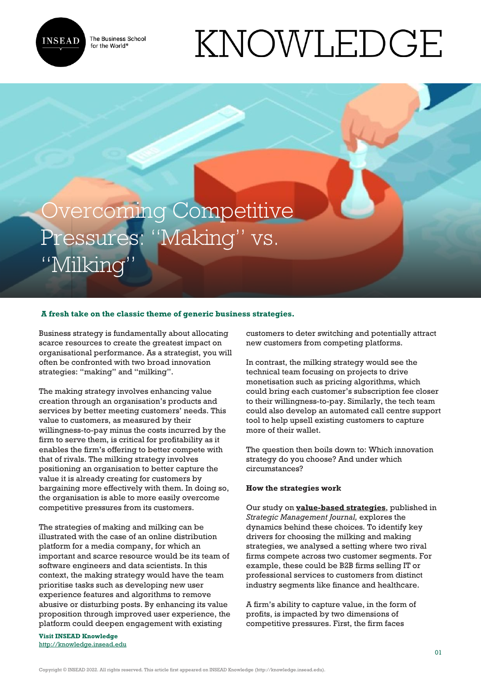

The Business School for the World<sup>®</sup>

# KNOWLEDGE

# Overcoming Competitive Pressures: "Making" vs. "Milking"

# **A fresh take on the classic theme of generic business strategies.**

Business strategy is fundamentally about allocating scarce resources to create the greatest impact on organisational performance. As a strategist, you will often be confronted with two broad innovation strategies: "making" and "milking".

The making strategy involves enhancing value creation through an organisation's products and services by better meeting customers' needs. This value to customers, as measured by their willingness-to-pay minus the costs incurred by the firm to serve them, is critical for profitability as it enables the firm's offering to better compete with that of rivals. The milking strategy involves positioning an organisation to better capture the value it is already creating for customers by bargaining more effectively with them. In doing so, the organisation is able to more easily overcome competitive pressures from its customers.

The strategies of making and milking can be illustrated with the case of an online distribution platform for a media company, for which an important and scarce resource would be its team of software engineers and data scientists. In this context, the making strategy would have the team prioritise tasks such as developing new user experience features and algorithms to remove abusive or disturbing posts. By enhancing its value proposition through improved user experience, the platform could deepen engagement with existing

**Visit INSEAD Knowledge** <http://knowledge.insead.edu> customers to deter switching and potentially attract new customers from competing platforms.

In contrast, the milking strategy would see the technical team focusing on projects to drive monetisation such as pricing algorithms, which could bring each customer's subscription fee closer to their willingness-to-pay. Similarly, the tech team could also develop an automated call centre support tool to help upsell existing customers to capture more of their wallet.

The question then boils down to: Which innovation strategy do you choose? And under which circumstances?

#### **How the strategies work**

Our study on **[value-based strategies](https://onlinelibrary.wiley.com/doi/abs/10.1002/smj.3282)**, published in *Strategic Management Journal,* explores the dynamics behind these choices*.* To identify key drivers for choosing the milking and making strategies, we analysed a setting where two rival firms compete across two customer segments. For example, these could be B2B firms selling IT or professional services to customers from distinct industry segments like finance and healthcare.

A firm's ability to capture value, in the form of profits, is impacted by two dimensions of competitive pressures. First, the firm faces

Copyright © INSEAD 2022. All rights reserved. This article first appeared on INSEAD Knowledge (http://knowledge.insead.edu).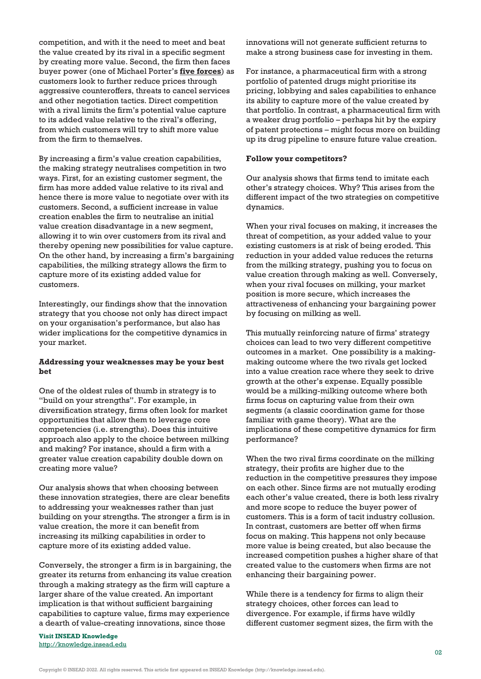competition, and with it the need to meet and beat the value created by its rival in a specific segment by creating more value. Second, the firm then faces buyer power (one of Michael Porter's **[five forces](https://hbr.org/1979/03/how-competitive-forces-shape-strategy)**) as customers look to further reduce prices through aggressive counteroffers, threats to cancel services and other negotiation tactics. Direct competition with a rival limits the firm's potential value capture to its added value relative to the rival's offering, from which customers will try to shift more value from the firm to themselves.

By increasing a firm's value creation capabilities, the making strategy neutralises competition in two ways. First, for an existing customer segment, the firm has more added value relative to its rival and hence there is more value to negotiate over with its customers. Second, a sufficient increase in value creation enables the firm to neutralise an initial value creation disadvantage in a new segment, allowing it to win over customers from its rival and thereby opening new possibilities for value capture. On the other hand, by increasing a firm's bargaining capabilities, the milking strategy allows the firm to capture more of its existing added value for customers.

Interestingly, our findings show that the innovation strategy that you choose not only has direct impact on your organisation's performance, but also has wider implications for the competitive dynamics in your market.

#### **Addressing your weaknesses may be your best bet**

One of the oldest rules of thumb in strategy is to "build on your strengths". For example, in diversification strategy, firms often look for market opportunities that allow them to leverage core competencies (i.e. strengths). Does this intuitive approach also apply to the choice between milking and making? For instance, should a firm with a greater value creation capability double down on creating more value?

Our analysis shows that when choosing between these innovation strategies, there are clear benefits to addressing your weaknesses rather than just building on your strengths. The stronger a firm is in value creation, the more it can benefit from increasing its milking capabilities in order to capture more of its existing added value.

Conversely, the stronger a firm is in bargaining, the greater its returns from enhancing its value creation through a making strategy as the firm will capture a larger share of the value created. An important implication is that without sufficient bargaining capabilities to capture value, firms may experience a dearth of value-creating innovations, since those

**Visit INSEAD Knowledge** <http://knowledge.insead.edu> innovations will not generate sufficient returns to make a strong business case for investing in them.

For instance, a pharmaceutical firm with a strong portfolio of patented drugs might prioritise its pricing, lobbying and sales capabilities to enhance its ability to capture more of the value created by that portfolio. In contrast, a pharmaceutical firm with a weaker drug portfolio – perhaps hit by the expiry of patent protections – might focus more on building up its drug pipeline to ensure future value creation.

## **Follow your competitors?**

Our analysis shows that firms tend to imitate each other's strategy choices. Why? This arises from the different impact of the two strategies on competitive dynamics.

When your rival focuses on making, it increases the threat of competition, as your added value to your existing customers is at risk of being eroded. This reduction in your added value reduces the returns from the milking strategy, pushing you to focus on value creation through making as well. Conversely, when your rival focuses on milking, your market position is more secure, which increases the attractiveness of enhancing your bargaining power by focusing on milking as well.

This mutually reinforcing nature of firms' strategy choices can lead to two very different competitive outcomes in a market. One possibility is a makingmaking outcome where the two rivals get locked into a value creation race where they seek to drive growth at the other's expense. Equally possible would be a milking-milking outcome where both firms focus on capturing value from their own segments (a classic coordination game for those familiar with game theory). What are the implications of these competitive dynamics for firm performance?

When the two rival firms coordinate on the milking strategy, their profits are higher due to the reduction in the competitive pressures they impose on each other. Since firms are not mutually eroding each other's value created, there is both less rivalry and more scope to reduce the buyer power of customers. This is a form of tacit industry collusion. In contrast, customers are better off when firms focus on making. This happens not only because more value is being created, but also because the increased competition pushes a higher share of that created value to the customers when firms are not enhancing their bargaining power.

While there is a tendency for firms to align their strategy choices, other forces can lead to divergence. For example, if firms have wildly different customer segment sizes, the firm with the

Copyright © INSEAD 2022. All rights reserved. This article first appeared on INSEAD Knowledge (http://knowledge.insead.edu).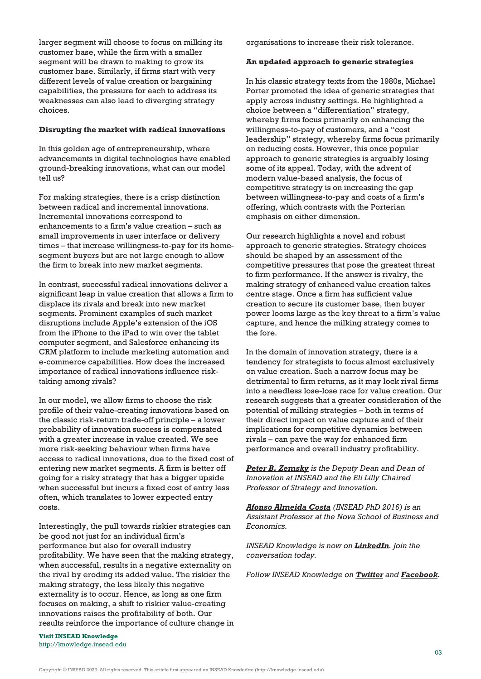larger segment will choose to focus on milking its customer base, while the firm with a smaller segment will be drawn to making to grow its customer base. Similarly, if firms start with very different levels of value creation or bargaining capabilities, the pressure for each to address its weaknesses can also lead to diverging strategy choices.

#### **Disrupting the market with radical innovations**

In this golden age of entrepreneurship, where advancements in digital technologies have enabled ground-breaking innovations, what can our model tell us?

For making strategies, there is a crisp distinction between radical and incremental innovations. Incremental innovations correspond to enhancements to a firm's value creation – such as small improvements in user interface or delivery times – that increase willingness-to-pay for its homesegment buyers but are not large enough to allow the firm to break into new market segments.

In contrast, successful radical innovations deliver a significant leap in value creation that allows a firm to displace its rivals and break into new market segments. Prominent examples of such market disruptions include Apple's extension of the iOS from the iPhone to the iPad to win over the tablet computer segment, and Salesforce enhancing its CRM platform to include marketing automation and e-commerce capabilities. How does the increased importance of radical innovations influence risktaking among rivals?

In our model, we allow firms to choose the risk profile of their value-creating innovations based on the classic risk-return trade-off principle – a lower probability of innovation success is compensated with a greater increase in value created. We see more risk-seeking behaviour when firms have access to radical innovations, due to the fixed cost of entering new market segments. A firm is better off going for a risky strategy that has a bigger upside when successful but incurs a fixed cost of entry less often, which translates to lower expected entry costs.

Interestingly, the pull towards riskier strategies can be good not just for an individual firm's performance but also for overall industry profitability. We have seen that the making strategy, when successful, results in a negative externality on the rival by eroding its added value. The riskier the making strategy, the less likely this negative externality is to occur. Hence, as long as one firm focuses on making, a shift to riskier value-creating innovations raises the profitability of both. Our results reinforce the importance of culture change in organisations to increase their risk tolerance.

#### **An updated approach to generic strategies**

In his classic strategy texts from the 1980s, Michael Porter promoted the idea of generic strategies that apply across industry settings. He highlighted a choice between a "differentiation" strategy, whereby firms focus primarily on enhancing the willingness-to-pay of customers, and a "cost leadership" strategy, whereby firms focus primarily on reducing costs. However, this once popular approach to generic strategies is arguably losing some of its appeal. Today, with the advent of modern value-based analysis, the focus of competitive strategy is on increasing the gap between willingness-to-pay and costs of a firm's offering, which contrasts with the Porterian emphasis on either dimension.

Our research highlights a novel and robust approach to generic strategies. Strategy choices should be shaped by an assessment of the competitive pressures that pose the greatest threat to firm performance. If the answer is rivalry, the making strategy of enhanced value creation takes centre stage. Once a firm has sufficient value creation to secure its customer base, then buyer power looms large as the key threat to a firm's value capture, and hence the milking strategy comes to the fore.

In the domain of innovation strategy, there is a tendency for strategists to focus almost exclusively on value creation. Such a narrow focus may be detrimental to firm returns, as it may lock rival firms into a needless lose-lose race for value creation. Our research suggests that a greater consideration of the potential of milking strategies – both in terms of their direct impact on value capture and of their implications for competitive dynamics between rivals – can pave the way for enhanced firm performance and overall industry profitability.

*[Peter B. Zemsky](https://www.insead.edu/faculty-research/faculty/peter--zemsky) is the Deputy Dean and Dean of Innovation at INSEAD and the Eli Lilly Chaired Professor of Strategy and Innovation.*

*[Afonso Almeida Costa](https://www.novasbe.unl.pt/en/faculty-research/faculty/faculty-detail/id/70/afonso-almeida-costa) (INSEAD PhD 2016) is an Assistant Professor at the Nova School of Business and Economics.*

*INSEAD Knowledge is now on [LinkedIn](https://www.linkedin.com/showcase/insead-knowledge/). Join the conversation today.*

*Follow INSEAD Knowledge on [Twitter](http://www.twitter.com/inseadknowledge) and [Facebook](http://www.facebook.com/Knowledge.insead).*

**Visit INSEAD Knowledge** <http://knowledge.insead.edu>

Copyright © INSEAD 2022. All rights reserved. This article first appeared on INSEAD Knowledge (http://knowledge.insead.edu).